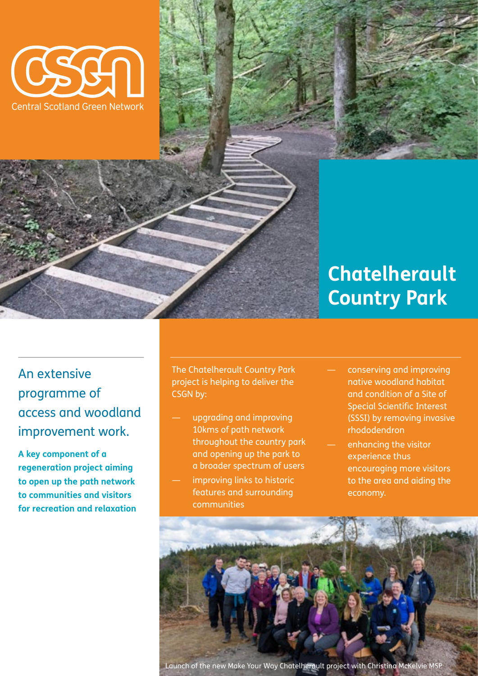

## **Chatelherault Country Park**

An extensive programme of access and woodland improvement work.

**A key component of a regeneration project aiming to open up the path network to communities and visitors for recreation and relaxation** The Chatelherault Country Park project is helping to deliver the CSGN by:

- upgrading and improving 10kms of path network throughout the country park and opening up the park to a broader spectrum of users
- improving links to historic features and surrounding communities
- conserving and improving native woodland habitat and condition of a Site of Special Scientific Interest (SSSI) by removing invasive rhododendron
- enhancing the visitor experience thus encouraging more visitors to the area and aiding the economy.

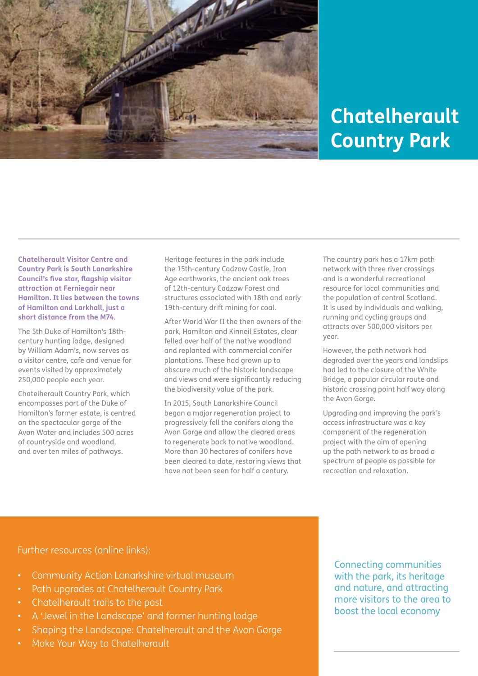

## **Chatelherault Country Park**

**Chatelherault Visitor Centre and Country Park is South Lanarkshire Council's five star, flagship visitor attraction at Ferniegair near Hamilton. It lies between the towns of Hamilton and Larkhall, just a short distance from the M74.** 

The 5th Duke of Hamilton's 18thcentury hunting lodge, designed by William Adam's, now serves as a visitor centre, cafe and venue for events visited by approximately 250,000 people each year.

Chatelherault Country Park, which encompasses part of the Duke of Hamilton's former estate, is centred on the spectacular gorge of the Avon Water and includes 500 acres of countryside and woodland, and over ten miles of pathways.

Heritage features in the park include the 15th-century Cadzow Castle, Iron Age earthworks, the ancient oak trees of 12th-century Cadzow Forest and structures associated with 18th and early 19th-century drift mining for coal.

After World War II the then owners of the park, Hamilton and Kinneil Estates, clear felled over half of the native woodland and replanted with commercial conifer plantations. These had grown up to obscure much of the historic landscape and views and were significantly reducing the biodiversity value of the park.

In 2015, South Lanarkshire Council began a major regeneration project to progressively fell the conifers along the Avon Gorge and allow the cleared areas to regenerate back to native woodland. More than 30 hectares of conifers have been cleared to date, restoring views that have not been seen for half a century.

The country park has a 17km path network with three river crossings and is a wonderful recreational resource for local communities and the population of central Scotland. It is used by individuals and walking, running and cycling groups and attracts over 500,000 visitors per year.

However, the path network had degraded over the years and landslips had led to the closure of the White Bridge, a popular circular route and historic crossing point half way along the Avon Gorge.

Upgrading and improving the park's access infrastructure was a key component of the regeneration project with the aim of opening up the path network to as broad a spectrum of people as possible for recreation and relaxation.

Further resources (online links):

- [Community Action Lanarkshire virtual museum](https://www.communityactionlan.org/component/zoo/tag/virtual-museum/Chatelherault-Country-Park)
- [Path upgrades at Chatelherault Country Park](https://www.communityactionlan.org/news-hub/item/path-upgrades-at-chatelherault-country-park)
- [Chatelherault trails to the past](https://www.southlanarkshire.gov.uk/downloads/file/626/chatelherault_trails_to_the_past)
- [A 'Jewel in the Landscape' and former hunting lodge](https://www.communityactionlan.org/places/item/chatelherault-country-park)
- [Shaping the Landscape: Chatelherault and the Avon Gorge](https://www.communityactionlan.org/natural-history-geology/item/shaping-the-landscape-chatelherault-and-the-avon-gorge)
- [Make Your Way to Chatelherault](https://www.communityactionlan.org/files/MakeYrWay/Make_Your_Way_to_Chatelherault_Map.pdf)

Connecting communities with the park, its heritage and nature, and attracting more visitors to the area to boost the local economy